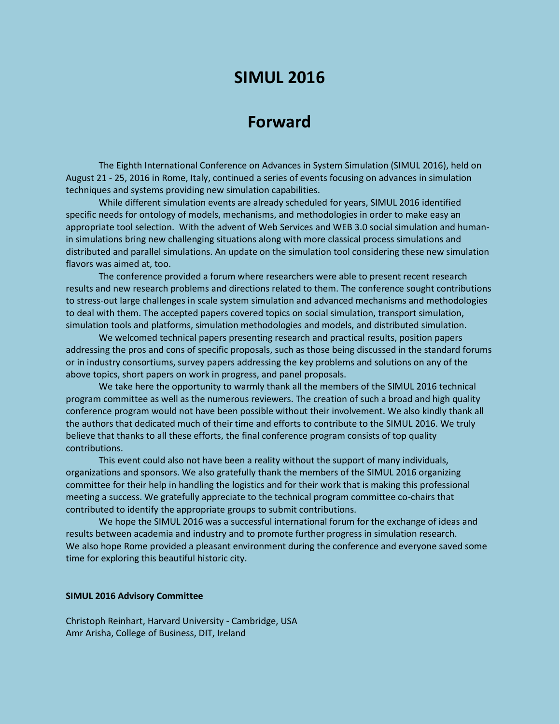# **SIMUL 2016**

# **Forward**

The Eighth International Conference on Advances in System Simulation (SIMUL 2016), held on August 21 - 25, 2016 in Rome, Italy, continued a series of events focusing on advances in simulation techniques and systems providing new simulation capabilities.

While different simulation events are already scheduled for years, SIMUL 2016 identified specific needs for ontology of models, mechanisms, and methodologies in order to make easy an appropriate tool selection. With the advent of Web Services and WEB 3.0 social simulation and humanin simulations bring new challenging situations along with more classical process simulations and distributed and parallel simulations. An update on the simulation tool considering these new simulation flavors was aimed at, too.

The conference provided a forum where researchers were able to present recent research results and new research problems and directions related to them. The conference sought contributions to stress-out large challenges in scale system simulation and advanced mechanisms and methodologies to deal with them. The accepted papers covered topics on social simulation, transport simulation, simulation tools and platforms, simulation methodologies and models, and distributed simulation.

We welcomed technical papers presenting research and practical results, position papers addressing the pros and cons of specific proposals, such as those being discussed in the standard forums or in industry consortiums, survey papers addressing the key problems and solutions on any of the above topics, short papers on work in progress, and panel proposals.

We take here the opportunity to warmly thank all the members of the SIMUL 2016 technical program committee as well as the numerous reviewers. The creation of such a broad and high quality conference program would not have been possible without their involvement. We also kindly thank all the authors that dedicated much of their time and efforts to contribute to the SIMUL 2016. We truly believe that thanks to all these efforts, the final conference program consists of top quality contributions.

This event could also not have been a reality without the support of many individuals, organizations and sponsors. We also gratefully thank the members of the SIMUL 2016 organizing committee for their help in handling the logistics and for their work that is making this professional meeting a success. We gratefully appreciate to the technical program committee co-chairs that contributed to identify the appropriate groups to submit contributions.

We hope the SIMUL 2016 was a successful international forum for the exchange of ideas and results between academia and industry and to promote further progress in simulation research. We also hope Rome provided a pleasant environment during the conference and everyone saved some time for exploring this beautiful historic city.

#### **SIMUL 2016 Advisory Committee**

Christoph Reinhart, Harvard University - Cambridge, USA Amr Arisha, College of Business, DIT, Ireland